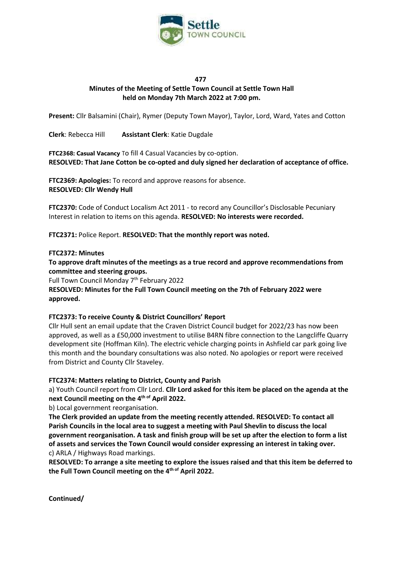

## **477 Minutes of the Meeting of Settle Town Council at Settle Town Hall held on Monday 7th March 2022 at 7:00 pm.**

**Present:** Cllr Balsamini (Chair), Rymer (Deputy Town Mayor), Taylor, Lord, Ward, Yates and Cotton

**Clerk**: Rebecca Hill **Assistant Clerk**: Katie Dugdale

**FTC2368: Casual Vacancy** To fill 4 Casual Vacancies by co-option. **RESOLVED: That Jane Cotton be co-opted and duly signed her declaration of acceptance of office.** 

**FTC2369: Apologies:** To record and approve reasons for absence. **RESOLVED: Cllr Wendy Hull**

**FTC2370:** Code of Conduct Localism Act 2011 - to record any Councillor's Disclosable Pecuniary Interest in relation to items on this agenda. **RESOLVED: No interests were recorded.** 

**FTC2371:** Police Report. **RESOLVED: That the monthly report was noted.** 

#### **FTC2372: Minutes**

**To approve draft minutes of the meetings as a true record and approve recommendations from committee and steering groups.**

Full Town Council Monday 7th February 2022

**RESOLVED: Minutes for the Full Town Council meeting on the 7th of February 2022 were approved.**

#### **FTC2373: To receive County & District Councillors' Report**

Cllr Hull sent an email update that the Craven District Council budget for 2022/23 has now been approved, as well as a £50,000 investment to utilise B4RN fibre connection to the Langcliffe Quarry development site (Hoffman Kiln). The electric vehicle charging points in Ashfield car park going live this month and the boundary consultations was also noted. No apologies or report were received from District and County Cllr Staveley.

#### **FTC2374: Matters relating to District, County and Parish**

a) Youth Council report from Cllr Lord. **Cllr Lord asked for this item be placed on the agenda at the next Council meeting on the 4 th of April 2022.** 

b) Local government reorganisation.

**The Clerk provided an update from the meeting recently attended. RESOLVED: To contact all Parish Councils in the local area to suggest a meeting with Paul Shevlin to discuss the local government reorganisation. A task and finish group will be set up after the election to form a list of assets and services the Town Council would consider expressing an interest in taking over.** c) ARLA / Highways Road markings.

**RESOLVED: To arrange a site meeting to explore the issues raised and that this item be deferred to**  the Full Town Council meeting on the 4<sup>th of</sup> April 2022.

**Continued/**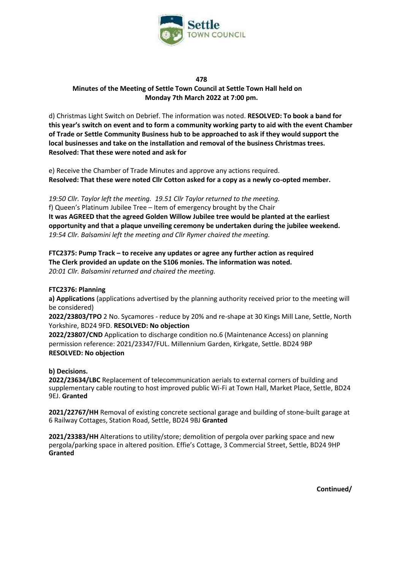

#### **478**

**Minutes of the Meeting of Settle Town Council at Settle Town Hall held on Monday 7th March 2022 at 7:00 pm.**

d) Christmas Light Switch on Debrief. The information was noted. **RESOLVED: To book a band for this year's switch on event and to form a community working party to aid with the event Chamber of Trade or Settle Community Business hub to be approached to ask if they would support the local businesses and take on the installation and removal of the business Christmas trees. Resolved: That these were noted and ask for** 

e) Receive the Chamber of Trade Minutes and approve any actions required. **Resolved: That these were noted Cllr Cotton asked for a copy as a newly co-opted member.**

*19:50 Cllr. Taylor left the meeting. 19.51 Cllr Taylor returned to the meeting.*  f) Queen's Platinum Jubilee Tree – Item of emergency brought by the Chair **It was AGREED that the agreed Golden Willow Jubilee tree would be planted at the earliest opportunity and that a plaque unveiling ceremony be undertaken during the jubilee weekend.**  *19:54 Cllr. Balsamini left the meeting and Cllr Rymer chaired the meeting.*

**FTC2375: Pump Track – to receive any updates or agree any further action as required The Clerk provided an update on the S106 monies. The information was noted.**  *20:01 Cllr. Balsamini returned and chaired the meeting.*

#### **FTC2376: Planning**

**a) Applications** (applications advertised by the planning authority received prior to the meeting will be considered)

**2022/23803/TPO** 2 No. Sycamores - reduce by 20% and re-shape at 30 Kings Mill Lane, Settle, North Yorkshire, BD24 9FD. **RESOLVED: No objection**

**2022/23807/CND** Application to discharge condition no.6 (Maintenance Access) on planning permission reference: 2021/23347/FUL. Millennium Garden, Kirkgate, Settle. BD24 9BP **RESOLVED: No objection**

**b) Decisions.** 

**2022/23634/LBC** Replacement of telecommunication aerials to external corners of building and supplementary cable routing to host improved public Wi-Fi at Town Hall, Market Place, Settle, BD24 9EJ. **Granted**

**2021/22767/HH** Removal of existing concrete sectional garage and building of stone-built garage at 6 Railway Cottages, Station Road, Settle, BD24 9BJ **Granted**

**2021/23383/HH** Alterations to utility/store; demolition of pergola over parking space and new pergola/parking space in altered position. Effie's Cottage, 3 Commercial Street, Settle, BD24 9HP **Granted** 

**Continued/**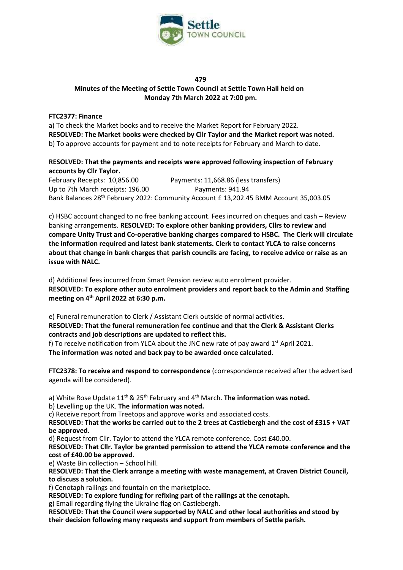

## **479 Minutes of the Meeting of Settle Town Council at Settle Town Hall held on Monday 7th March 2022 at 7:00 pm.**

## **FTC2377: Finance**

a) To check the Market books and to receive the Market Report for February 2022. **RESOLVED: The Market books were checked by Cllr Taylor and the Market report was noted.**  b) To approve accounts for payment and to note receipts for February and March to date.

# **RESOLVED: That the payments and receipts were approved following inspection of February accounts by Cllr Taylor.**

February Receipts: 10,856.00 Payments: 11,668.86 (less transfers) Up to 7th March receipts: 196.00 Payments: 941.94 Bank Balances 28th February 2022: Community Account £ 13,202.45 BMM Account 35,003.05

c) HSBC account changed to no free banking account. Fees incurred on cheques and cash – Review banking arrangements. **RESOLVED: To explore other banking providers, Cllrs to review and compare Unity Trust and Co-operative banking charges compared to HSBC. The Clerk will circulate the information required and latest bank statements. Clerk to contact YLCA to raise concerns about that change in bank charges that parish councils are facing, to receive advice or raise as an issue with NALC.**

d) Additional fees incurred from Smart Pension review auto enrolment provider. **RESOLVED: To explore other auto enrolment providers and report back to the Admin and Staffing meeting on 4th April 2022 at 6:30 p.m.**

e) Funeral remuneration to Clerk / Assistant Clerk outside of normal activities.

**RESOLVED: That the funeral remuneration fee continue and that the Clerk & Assistant Clerks contracts and job descriptions are updated to reflect this.**

f) To receive notification from YLCA about the JNC new rate of pay award  $1<sup>st</sup>$  April 2021. **The information was noted and back pay to be awarded once calculated.**

**FTC2378: To receive and respond to correspondence** (correspondence received after the advertised agenda will be considered).

a) White Rose Update 11<sup>th</sup> & 25<sup>th</sup> February and 4<sup>th</sup> March. **The information was noted.** 

b) Levelling up the UK. **The information was noted.**

c) Receive report from Treetops and approve works and associated costs.

**RESOLVED: That the works be carried out to the 2 trees at Castlebergh and the cost of £315 + VAT be approved.** 

d) Request from Cllr. Taylor to attend the YLCA remote conference. Cost £40.00.

**RESOLVED: That Cllr. Taylor be granted permission to attend the YLCA remote conference and the cost of £40.00 be approved.** 

e) Waste Bin collection – School hill.

**RESOLVED: That the Clerk arrange a meeting with waste management, at Craven District Council, to discuss a solution.** 

f) Cenotaph railings and fountain on the marketplace.

**RESOLVED: To explore funding for refixing part of the railings at the cenotaph.** 

g) Email regarding flying the Ukraine flag on Castlebergh.

**RESOLVED: That the Council were supported by NALC and other local authorities and stood by their decision following many requests and support from members of Settle parish.**